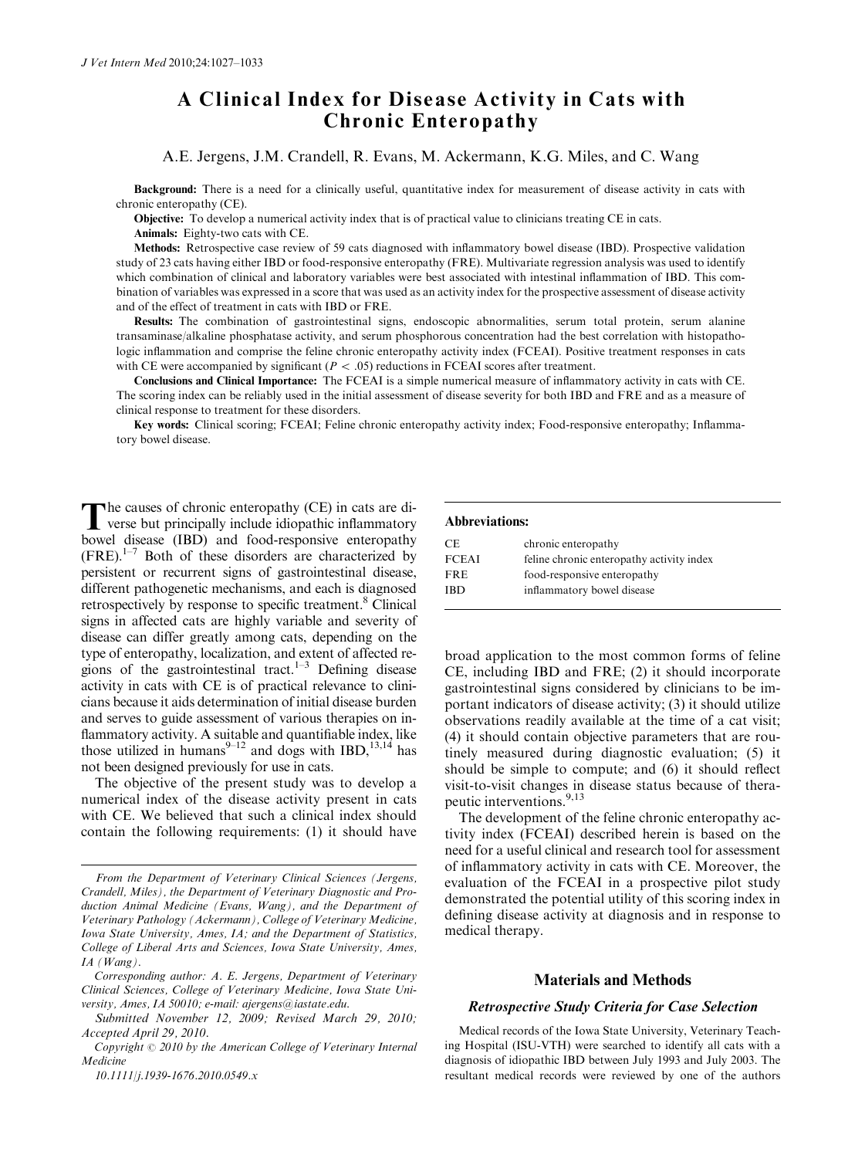# A Clinical Index for Disease Activity in Cats with Chronic Enteropathy

A.E. Jergens, J.M. Crandell, R. Evans, M. Ackermann, K.G. Miles, and C. Wang

Background: There is a need for a clinically useful, quantitative index for measurement of disease activity in cats with chronic enteropathy (CE).

Objective: To develop a numerical activity index that is of practical value to clinicians treating CE in cats.

Animals: Eighty-two cats with CE.

Methods: Retrospective case review of 59 cats diagnosed with inflammatory bowel disease (IBD). Prospective validation study of 23 cats having either IBD or food-responsive enteropathy (FRE). Multivariate regression analysis was used to identify which combination of clinical and laboratory variables were best associated with intestinal inflammation of IBD. This combination of variables was expressed in a score that was used as an activity index for the prospective assessment of disease activity and of the effect of treatment in cats with IBD or FRE.

Results: The combination of gastrointestinal signs, endoscopic abnormalities, serum total protein, serum alanine transaminase/alkaline phosphatase activity, and serum phosphorous concentration had the best correlation with histopathologic inflammation and comprise the feline chronic enteropathy activity index (FCEAI). Positive treatment responses in cats with CE were accompanied by significant ( $P < .05$ ) reductions in FCEAI scores after treatment.

Conclusions and Clinical Importance: The FCEAI is a simple numerical measure of inflammatory activity in cats with CE. The scoring index can be reliably used in the initial assessment of disease severity for both IBD and FRE and as a measure of clinical response to treatment for these disorders.

Key words: Clinical scoring; FCEAI; Feline chronic enteropathy activity index; Food-responsive enteropathy; Inflammatory bowel disease.

The causes of chronic enteropathy (CE) in cats are di-<br>verse but principally include idiopathic inflammatory<br>hand, discuss (DD) and fixed association enterpretent bowel disease (IBD) and food-responsive enteropathy  $(FRE).<sup>1-7</sup>$  Both of these disorders are characterized by persistent or recurrent signs of gastrointestinal disease, different pathogenetic mechanisms, and each is diagnosed retrospectively by response to specific treatment.<sup>8</sup> Clinical signs in affected cats are highly variable and severity of disease can differ greatly among cats, depending on the type of enteropathy, localization, and extent of affected regions of the gastrointestinal tract.<sup>1–3</sup> Defining disease activity in cats with CE is of practical relevance to clinicians because it aids determination of initial disease burden and serves to guide assessment of various therapies on inflammatory activity. A suitable and quantifiable index, like those utilized in humans<sup>9–12</sup> and dogs with IBD,<sup>13,14</sup> has not been designed previously for use in cats.

The objective of the present study was to develop a numerical index of the disease activity present in cats with CE. We believed that such a clinical index should contain the following requirements: (1) it should have

## Abbreviations:

| CE.          | chronic enteropathy                       |
|--------------|-------------------------------------------|
| <b>FCEAI</b> | feline chronic enteropathy activity index |
| <b>FRE</b>   | food-responsive enteropathy               |
| IBD          | inflammatory bowel disease                |
|              |                                           |

broad application to the most common forms of feline CE, including IBD and FRE; (2) it should incorporate gastrointestinal signs considered by clinicians to be important indicators of disease activity; (3) it should utilize observations readily available at the time of a cat visit; (4) it should contain objective parameters that are routinely measured during diagnostic evaluation; (5) it should be simple to compute; and (6) it should reflect visit-to-visit changes in disease status because of therapeutic interventions.<sup>9,13</sup>

The development of the feline chronic enteropathy activity index (FCEAI) described herein is based on the need for a useful clinical and research tool for assessment of inflammatory activity in cats with CE. Moreover, the evaluation of the FCEAI in a prospective pilot study demonstrated the potential utility of this scoring index in defining disease activity at diagnosis and in response to medical therapy.

# Materials and Methods

#### Retrospective Study Criteria for Case Selection

Medical records of the Iowa State University, Veterinary Teaching Hospital (ISU-VTH) were searched to identify all cats with a diagnosis of idiopathic IBD between July 1993 and July 2003. The resultant medical records were reviewed by one of the authors

From the Department of Veterinary Clinical Sciences (Jergens, Crandell, Miles), the Department of Veterinary Diagnostic and Production Animal Medicine (Evans, Wang), and the Department of Veterinary Pathology (Ackermann), College of Veterinary Medicine, Iowa State University, Ames, IA; and the Department of Statistics, College of Liberal Arts and Sciences, Iowa State University, Ames,  $IA$  (Wang).

Corresponding author: A. E. Jergens, Department of Veterinary Clinical Sciences, College of Veterinary Medicine, Iowa State University, Ames, IA 50010; e-mail: [ajergens@iastate.edu](mailto:ajergens@iastate.edu).

Submitted November 12, 2009; Revised March 29, 2010; Accepted April 29, 2010.

Copyright  $\odot$  2010 by the American College of Veterinary Internal Medicine

<sup>10.1111/</sup>j.1939-1676.2010.0549.x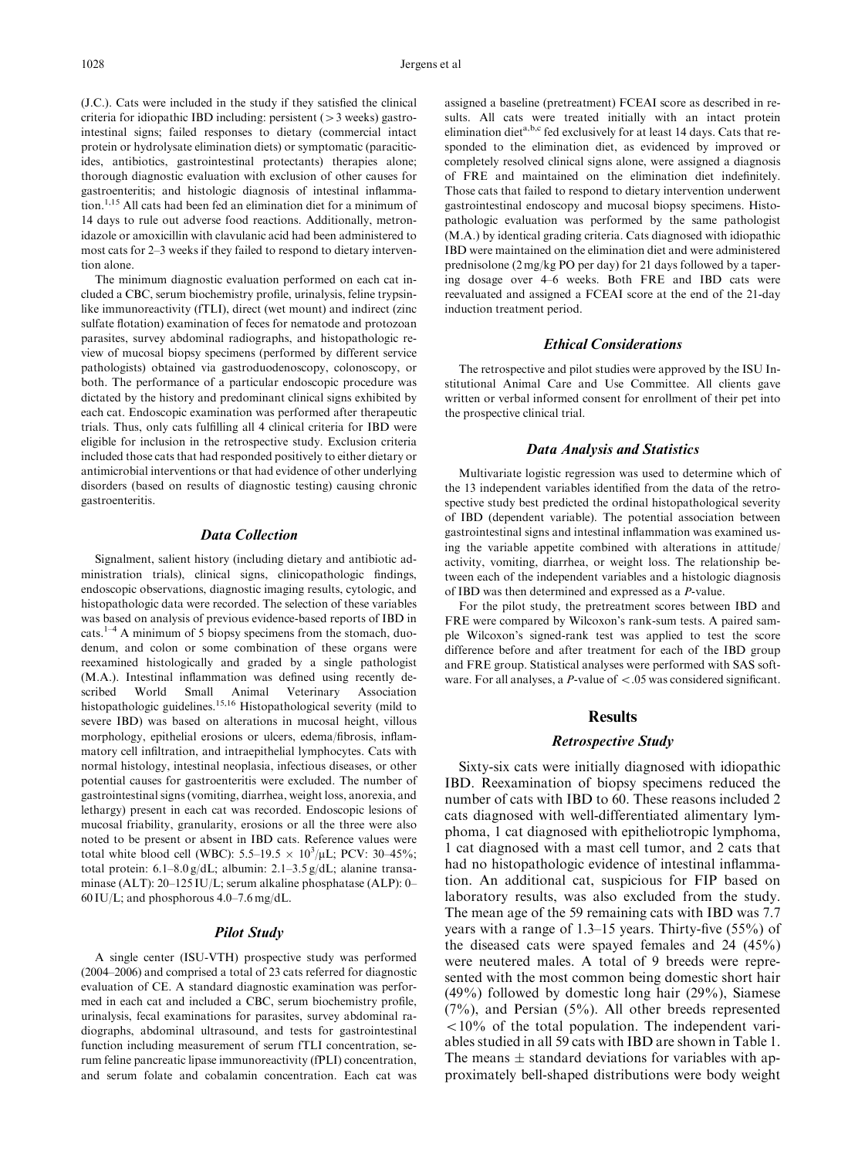(J.C.). Cats were included in the study if they satisfied the clinical criteria for idiopathic IBD including: persistent  $(>3$  weeks) gastrointestinal signs; failed responses to dietary (commercial intact protein or hydrolysate elimination diets) or symptomatic (paraciticides, antibiotics, gastrointestinal protectants) therapies alone; thorough diagnostic evaluation with exclusion of other causes for gastroenteritis; and histologic diagnosis of intestinal inflammation.<sup>1,15</sup> All cats had been fed an elimination diet for a minimum of 14 days to rule out adverse food reactions. Additionally, metronidazole or amoxicillin with clavulanic acid had been administered to most cats for 2–3 weeks if they failed to respond to dietary intervention alone.

The minimum diagnostic evaluation performed on each cat included a CBC, serum biochemistry profile, urinalysis, feline trypsinlike immunoreactivity (fTLI), direct (wet mount) and indirect (zinc sulfate flotation) examination of feces for nematode and protozoan parasites, survey abdominal radiographs, and histopathologic review of mucosal biopsy specimens (performed by different service pathologists) obtained via gastroduodenoscopy, colonoscopy, or both. The performance of a particular endoscopic procedure was dictated by the history and predominant clinical signs exhibited by each cat. Endoscopic examination was performed after therapeutic trials. Thus, only cats fulfilling all 4 clinical criteria for IBD were eligible for inclusion in the retrospective study. Exclusion criteria included those cats that had responded positively to either dietary or antimicrobial interventions or that had evidence of other underlying disorders (based on results of diagnostic testing) causing chronic gastroenteritis.

#### Data Collection

Signalment, salient history (including dietary and antibiotic administration trials), clinical signs, clinicopathologic findings, endoscopic observations, diagnostic imaging results, cytologic, and histopathologic data were recorded. The selection of these variables was based on analysis of previous evidence-based reports of IBD in cats.<sup>1–4</sup> A minimum of 5 biopsy specimens from the stomach, duodenum, and colon or some combination of these organs were reexamined histologically and graded by a single pathologist (M.A.). Intestinal inflammation was defined using recently described World Small Animal Veterinary Association histopathologic guidelines.<sup>15,16</sup> Histopathological severity (mild to severe IBD) was based on alterations in mucosal height, villous morphology, epithelial erosions or ulcers, edema/fibrosis, inflammatory cell infiltration, and intraepithelial lymphocytes. Cats with normal histology, intestinal neoplasia, infectious diseases, or other potential causes for gastroenteritis were excluded. The number of gastrointestinal signs (vomiting, diarrhea, weight loss, anorexia, and lethargy) present in each cat was recorded. Endoscopic lesions of mucosal friability, granularity, erosions or all the three were also noted to be present or absent in IBD cats. Reference values were total white blood cell (WBC):  $5.5-19.5 \times 10^3/\mu$ L; PCV: 30-45%; total protein:  $6.1-8.0$  g/dL; albumin:  $2.1-3.5$  g/dL; alanine transaminase (ALT): 20–125 IU/L; serum alkaline phosphatase (ALP): 0– 60 IU/L; and phosphorous 4.0–7.6 mg/dL.

#### Pilot Study

A single center (ISU-VTH) prospective study was performed (2004–2006) and comprised a total of 23 cats referred for diagnostic evaluation of CE. A standard diagnostic examination was performed in each cat and included a CBC, serum biochemistry profile, urinalysis, fecal examinations for parasites, survey abdominal radiographs, abdominal ultrasound, and tests for gastrointestinal function including measurement of serum fTLI concentration, serum feline pancreatic lipase immunoreactivity (fPLI) concentration, and serum folate and cobalamin concentration. Each cat was assigned a baseline (pretreatment) FCEAI score as described in results. All cats were treated initially with an intact protein elimination diet<sup>a,b,c</sup> fed exclusively for at least 14 days. Cats that responded to the elimination diet, as evidenced by improved or completely resolved clinical signs alone, were assigned a diagnosis of FRE and maintained on the elimination diet indefinitely. Those cats that failed to respond to dietary intervention underwent gastrointestinal endoscopy and mucosal biopsy specimens. Histopathologic evaluation was performed by the same pathologist (M.A.) by identical grading criteria. Cats diagnosed with idiopathic IBD were maintained on the elimination diet and were administered prednisolone (2 mg/kg PO per day) for 21 days followed by a tapering dosage over 4–6 weeks. Both FRE and IBD cats were reevaluated and assigned a FCEAI score at the end of the 21-day induction treatment period.

#### Ethical Considerations

The retrospective and pilot studies were approved by the ISU Institutional Animal Care and Use Committee. All clients gave written or verbal informed consent for enrollment of their pet into the prospective clinical trial.

## Data Analysis and Statistics

Multivariate logistic regression was used to determine which of the 13 independent variables identified from the data of the retrospective study best predicted the ordinal histopathological severity of IBD (dependent variable). The potential association between gastrointestinal signs and intestinal inflammation was examined using the variable appetite combined with alterations in attitude/ activity, vomiting, diarrhea, or weight loss. The relationship between each of the independent variables and a histologic diagnosis of IBD was then determined and expressed as a P-value.

For the pilot study, the pretreatment scores between IBD and FRE were compared by Wilcoxon's rank-sum tests. A paired sample Wilcoxon's signed-rank test was applied to test the score difference before and after treatment for each of the IBD group and FRE group. Statistical analyses were performed with SAS software. For all analyses, a *P*-value of  $\lt$  0.05 was considered significant.

### Results

### Retrospective Study

Sixty-six cats were initially diagnosed with idiopathic IBD. Reexamination of biopsy specimens reduced the number of cats with IBD to 60. These reasons included 2 cats diagnosed with well-differentiated alimentary lymphoma, 1 cat diagnosed with epitheliotropic lymphoma, 1 cat diagnosed with a mast cell tumor, and 2 cats that had no histopathologic evidence of intestinal inflammation. An additional cat, suspicious for FIP based on laboratory results, was also excluded from the study. The mean age of the 59 remaining cats with IBD was 7.7 years with a range of 1.3–15 years. Thirty-five (55%) of the diseased cats were spayed females and 24 (45%) were neutered males. A total of 9 breeds were represented with the most common being domestic short hair (49%) followed by domestic long hair (29%), Siamese (7%), and Persian (5%). All other breeds represented  $10\%$  of the total population. The independent variables studied in all 59 cats with IBD are shown in Table 1. The means  $\pm$  standard deviations for variables with approximately bell-shaped distributions were body weight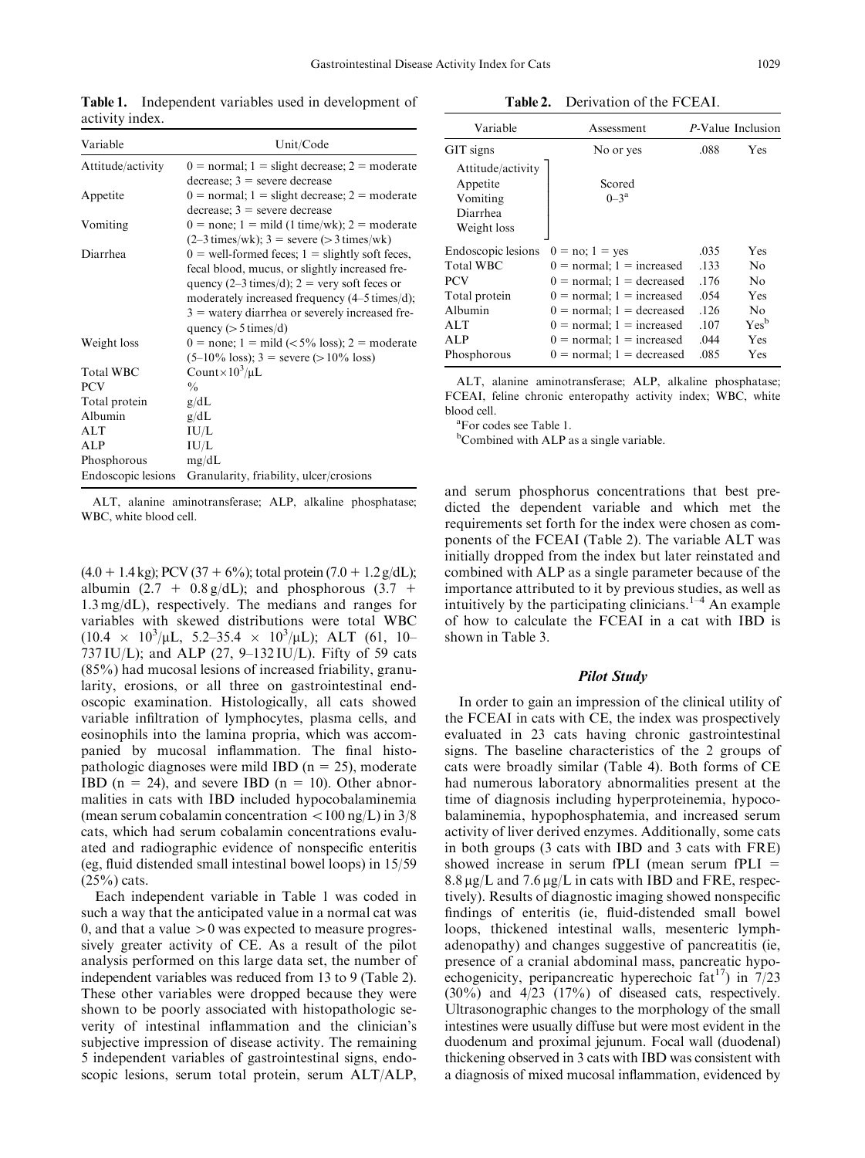Variable Unit/Code Attitude/activity  $0 = normal$ ; 1 = slight decrease; 2 = moderate  $decrease$ ;  $3 = severe decrease$ Appetite  $0 = normal$ ; 1 = slight decrease; 2 = moderate  $decrease$ ;  $3 = severe decrease$ Vomiting  $0 = none$ ; 1 = mild (1 time/wk); 2 = moderate  $(2-3 \text{ times/wk});$  3 = severe ( $> 3 \text{ times/wk}$ ) Diarrhea  $0 =$  well-formed feces;  $1 =$  slightly soft feces, fecal blood, mucus, or slightly increased frequency (2–3 times/d);  $2 =$  very soft feces or moderately increased frequency (4–5 times/d);  $3$  = watery diarrhea or severely increased frequency  $(> 5 \times d)$ Weight loss  $0 = none$ ;  $1 = mild (< 5\% loss); 2 = moderate$  $(5-10\% \text{ loss})$ ; 3 = severe (> 10% loss) Total WBC  $\qquad \qquad \text{Count} \times 10^3/\mu\text{L}$  $PCV$  % Total protein g/dL Albumin g/dL ALT IU/L ALP IU/L

Table 1. Independent variables used in development of activity index.

Endoscopic lesions Granularity, friability, ulcer/crosions

ALT, alanine aminotransferase; ALP, alkaline phosphatase; WBC, white blood cell.

Phosphorous mg/dL

 $(4.0 + 1.4 \text{ kg})$ ; PCV  $(37 + 6\%)$ ; total protein  $(7.0 + 1.2 \text{ g/dL})$ ; albumin  $(2.7 + 0.8 \text{ g/dL})$ ; and phosphorous  $(3.7 +$ 1.3 mg/dL), respectively. The medians and ranges for variables with skewed distributions were total WBC  $(10.4 \times 10^3/\mu L, 5.2-35.4 \times 10^3/\mu L);$  ALT  $(61, 10-$ 737 IU/L); and ALP (27, 9–132 IU/L). Fifty of 59 cats (85%) had mucosal lesions of increased friability, granularity, erosions, or all three on gastrointestinal endoscopic examination. Histologically, all cats showed variable infiltration of lymphocytes, plasma cells, and eosinophils into the lamina propria, which was accompanied by mucosal inflammation. The final histopathologic diagnoses were mild IBD ( $n = 25$ ), moderate IBD (n = 24), and severe IBD (n = 10). Other abnormalities in cats with IBD included hypocobalaminemia (mean serum cobalamin concentration  $\langle 100 \text{ ng/L} \rangle$  in 3/8 cats, which had serum cobalamin concentrations evaluated and radiographic evidence of nonspecific enteritis (eg, fluid distended small intestinal bowel loops) in 15/59  $(25%)$  cats.

Each independent variable in Table 1 was coded in such a way that the anticipated value in a normal cat was 0, and that a value  $>0$  was expected to measure progressively greater activity of CE. As a result of the pilot analysis performed on this large data set, the number of independent variables was reduced from 13 to 9 (Table 2). These other variables were dropped because they were shown to be poorly associated with histopathologic severity of intestinal inflammation and the clinician's subjective impression of disease activity. The remaining 5 independent variables of gastrointestinal signs, endoscopic lesions, serum total protein, serum ALT/ALP,

Table 2. Derivation of the FCEAI.

| Variable                                                                                                             | Assessment                                                                                                                                                                                                                                                  |                                                              | P-Value Inclusion                                                          |
|----------------------------------------------------------------------------------------------------------------------|-------------------------------------------------------------------------------------------------------------------------------------------------------------------------------------------------------------------------------------------------------------|--------------------------------------------------------------|----------------------------------------------------------------------------|
| GIT signs                                                                                                            | No or yes                                                                                                                                                                                                                                                   | .088                                                         | Yes                                                                        |
| Attitude/activity<br>Appetite<br>Vomiting<br>Diarrhea<br>Weight loss                                                 | Scored<br>$0 - 3^a$                                                                                                                                                                                                                                         |                                                              |                                                                            |
| Endoscopic lesions<br><b>Total WBC</b><br><b>PCV</b><br>Total protein<br>Albumin<br><b>ALT</b><br>ALP<br>Phosphorous | $0 = no$ ; $1 = yes$<br>$0 =$ normal; $1 =$ increased<br>$0 =$ normal; $1 =$ decreased<br>$0 =$ normal; $1 =$ increased<br>$0 =$ normal; $1 =$ decreased<br>$0 =$ normal; $1 =$ increased<br>$0 =$ normal; $1 =$ increased<br>$0 =$ normal; $1 =$ decreased | .035<br>.133<br>.176<br>.054<br>.126<br>.107<br>.044<br>.085 | Yes<br>No<br>No<br>Yes<br>N <sub>0</sub><br>Yes <sup>b</sup><br>Yes<br>Yes |

ALT, alanine aminotransferase; ALP, alkaline phosphatase; FCEAI, feline chronic enteropathy activity index; WBC, white blood cell.

<sup>a</sup>For codes see Table 1.

<sup>b</sup>Combined with ALP as a single variable.

and serum phosphorus concentrations that best predicted the dependent variable and which met the requirements set forth for the index were chosen as components of the FCEAI (Table 2). The variable ALT was initially dropped from the index but later reinstated and combined with ALP as a single parameter because of the importance attributed to it by previous studies, as well as intuitively by the participating clinicians.<sup> $1-4$ </sup> An example of how to calculate the FCEAI in a cat with IBD is shown in Table 3.

## Pilot Study

In order to gain an impression of the clinical utility of the FCEAI in cats with CE, the index was prospectively evaluated in 23 cats having chronic gastrointestinal signs. The baseline characteristics of the 2 groups of cats were broadly similar (Table 4). Both forms of CE had numerous laboratory abnormalities present at the time of diagnosis including hyperproteinemia, hypocobalaminemia, hypophosphatemia, and increased serum activity of liver derived enzymes. Additionally, some cats in both groups (3 cats with IBD and 3 cats with FRE) showed increase in serum fPLI (mean serum fPLI  $=$  $8.8 \mu g/L$  and 7.6  $\mu g/L$  in cats with IBD and FRE, respectively). Results of diagnostic imaging showed nonspecific findings of enteritis (ie, fluid-distended small bowel loops, thickened intestinal walls, mesenteric lymphadenopathy) and changes suggestive of pancreatitis (ie, presence of a cranial abdominal mass, pancreatic hypoechogenicity, peripancreatic hyperechoic fat<sup>17</sup>) in  $7/23$ (30%) and 4/23 (17%) of diseased cats, respectively. Ultrasonographic changes to the morphology of the small intestines were usually diffuse but were most evident in the duodenum and proximal jejunum. Focal wall (duodenal) thickening observed in 3 cats with IBD was consistent with a diagnosis of mixed mucosal inflammation, evidenced by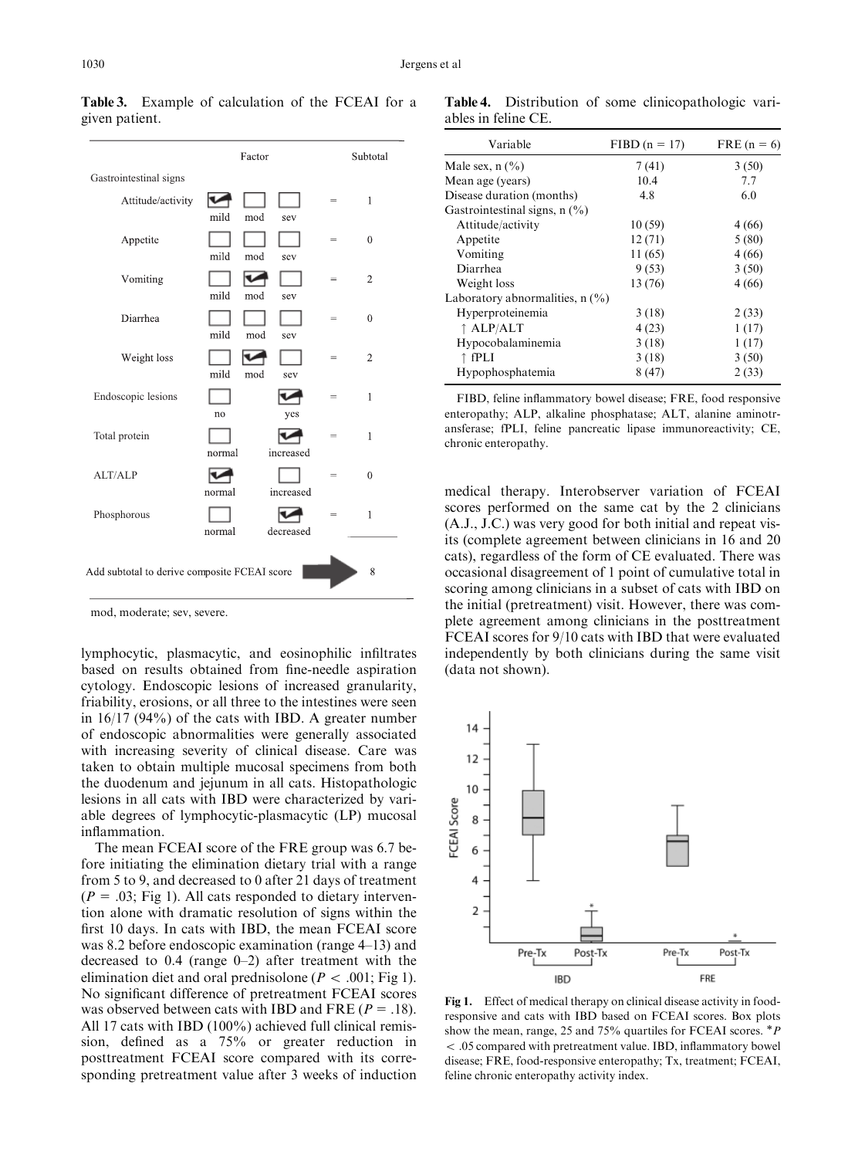|                                                   |                | Factor     |     | Subtotal       |  |  |  |
|---------------------------------------------------|----------------|------------|-----|----------------|--|--|--|
| Gastrointestinal signs                            |                |            |     |                |  |  |  |
| Attitude/activity                                 | mild           | mod<br>sev | $=$ | 1              |  |  |  |
| Appetite                                          | mild           | mod<br>sev | $=$ | $\theta$       |  |  |  |
| Vomiting                                          | mild           | mod<br>sev | =   | $\overline{2}$ |  |  |  |
| Diarrhea                                          | mild           | mod<br>sev | $=$ | $\theta$       |  |  |  |
| Weight loss                                       | mild           | mod<br>sev | $=$ | $\overline{2}$ |  |  |  |
| Endoscopic lesions                                | n <sub>0</sub> | yes        | $=$ | 1              |  |  |  |
| Total protein                                     | normal         | increased  | $=$ | 1              |  |  |  |
| ALT/ALP                                           | normal         | increased  | $=$ | $\theta$       |  |  |  |
| Phosphorous                                       | normal         | decreased  | $=$ | 1              |  |  |  |
| Add subtotal to derive composite FCEAI score<br>8 |                |            |     |                |  |  |  |

Table 3. Example of calculation of the FCEAI for a given patient.

mod, moderate; sev, severe.

lymphocytic, plasmacytic, and eosinophilic infiltrates based on results obtained from fine-needle aspiration cytology. Endoscopic lesions of increased granularity, friability, erosions, or all three to the intestines were seen in 16/17 (94%) of the cats with IBD. A greater number of endoscopic abnormalities were generally associated with increasing severity of clinical disease. Care was taken to obtain multiple mucosal specimens from both the duodenum and jejunum in all cats. Histopathologic lesions in all cats with IBD were characterized by variable degrees of lymphocytic-plasmacytic (LP) mucosal inflammation.

The mean FCEAI score of the FRE group was 6.7 before initiating the elimination dietary trial with a range from 5 to 9, and decreased to 0 after 21 days of treatment  $(P = .03; Fig 1)$ . All cats responded to dietary intervention alone with dramatic resolution of signs within the first 10 days. In cats with IBD, the mean FCEAI score was 8.2 before endoscopic examination (range 4–13) and decreased to  $0.4$  (range  $0-2$ ) after treatment with the elimination diet and oral prednisolone ( $P < .001$ ; Fig 1). No significant difference of pretreatment FCEAI scores was observed between cats with IBD and FRE ( $P = .18$ ). All 17 cats with IBD (100%) achieved full clinical remission, defined as a 75% or greater reduction in posttreatment FCEAI score compared with its corresponding pretreatment value after 3 weeks of induction

Table 4. Distribution of some clinicopathologic variables in feline CE.

| Variable                                 | $FIBD (n = 17)$ | $FRE(n = 6)$ |
|------------------------------------------|-----------------|--------------|
| Male sex, $n$ $\left(\frac{9}{6}\right)$ | 7(41)           | 3(50)        |
| Mean age (years)                         | 10.4            | 7.7          |
| Disease duration (months)                | 4.8             | 6.0          |
| Gastrointestinal signs, $n$ (%)          |                 |              |
| Attitude/activity                        | 10(59)          | 4(66)        |
| Appetite                                 | 12(71)          | 5(80)        |
| Vomiting                                 | 11(65)          | 4(66)        |
| Diarrhea                                 | 9(53)           | 3(50)        |
| Weight loss                              | 13 (76)         | 4(66)        |
| Laboratory abnormalities, $n$ (%)        |                 |              |
| Hyperproteinemia                         | 3(18)           | 2(33)        |
| ↑ ALP/ALT                                | 4(23)           | 1(17)        |
| Hypocobalaminemia                        | 3(18)           | 1(17)        |
| ↑ fPLI                                   | 3(18)           | 3(50)        |
| Hypophosphatemia                         | 8(47)           | 2(33)        |

FIBD, feline inflammatory bowel disease; FRE, food responsive enteropathy; ALP, alkaline phosphatase; ALT, alanine aminotransferase; fPLI, feline pancreatic lipase immunoreactivity; CE, chronic enteropathy.

medical therapy. Interobserver variation of FCEAI scores performed on the same cat by the 2 clinicians (A.J., J.C.) was very good for both initial and repeat visits (complete agreement between clinicians in 16 and 20 cats), regardless of the form of CE evaluated. There was occasional disagreement of 1 point of cumulative total in scoring among clinicians in a subset of cats with IBD on the initial (pretreatment) visit. However, there was complete agreement among clinicians in the posttreatment FCEAI scores for 9/10 cats with IBD that were evaluated independently by both clinicians during the same visit (data not shown).



Fig 1. Effect of medical therapy on clinical disease activity in foodresponsive and cats with IBD based on FCEAI scores. Box plots show the mean, range,  $25$  and  $75%$  quartiles for FCEAI scores.  $P$ o .05 compared with pretreatment value. IBD, inflammatory bowel disease; FRE, food-responsive enteropathy; Tx, treatment; FCEAI, feline chronic enteropathy activity index.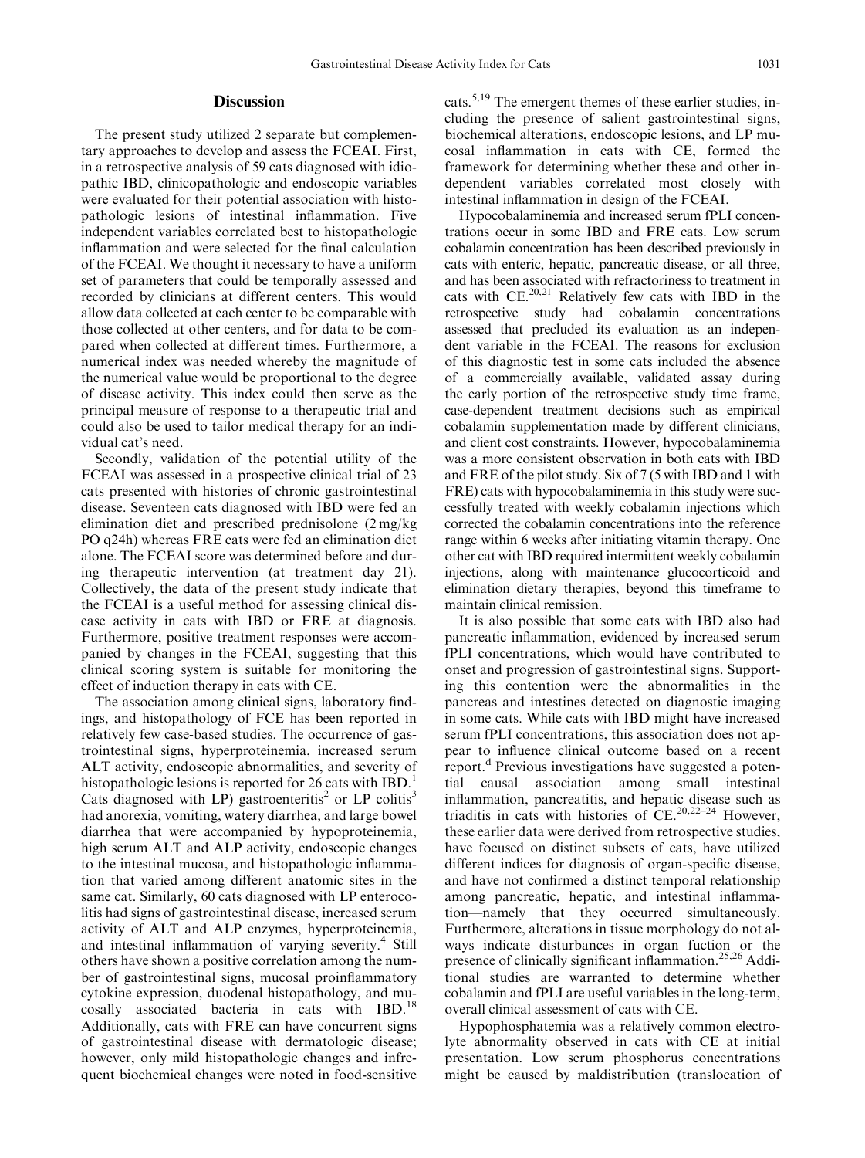## **Discussion**

The present study utilized 2 separate but complementary approaches to develop and assess the FCEAI. First, in a retrospective analysis of 59 cats diagnosed with idiopathic IBD, clinicopathologic and endoscopic variables were evaluated for their potential association with histopathologic lesions of intestinal inflammation. Five independent variables correlated best to histopathologic inflammation and were selected for the final calculation of the FCEAI. We thought it necessary to have a uniform set of parameters that could be temporally assessed and recorded by clinicians at different centers. This would allow data collected at each center to be comparable with those collected at other centers, and for data to be compared when collected at different times. Furthermore, a numerical index was needed whereby the magnitude of the numerical value would be proportional to the degree of disease activity. This index could then serve as the principal measure of response to a therapeutic trial and could also be used to tailor medical therapy for an individual cat's need.

Secondly, validation of the potential utility of the FCEAI was assessed in a prospective clinical trial of 23 cats presented with histories of chronic gastrointestinal disease. Seventeen cats diagnosed with IBD were fed an elimination diet and prescribed prednisolone (2 mg/kg PO q24h) whereas FRE cats were fed an elimination diet alone. The FCEAI score was determined before and during therapeutic intervention (at treatment day 21). Collectively, the data of the present study indicate that the FCEAI is a useful method for assessing clinical disease activity in cats with IBD or FRE at diagnosis. Furthermore, positive treatment responses were accompanied by changes in the FCEAI, suggesting that this clinical scoring system is suitable for monitoring the effect of induction therapy in cats with CE.

The association among clinical signs, laboratory findings, and histopathology of FCE has been reported in relatively few case-based studies. The occurrence of gastrointestinal signs, hyperproteinemia, increased serum ALT activity, endoscopic abnormalities, and severity of histopathologic lesions is reported for 26 cats with  $IBD<sup>1</sup>$ . Cats diagnosed with LP) gastroenteritis<sup>2</sup> or LP colitis<sup>3</sup> had anorexia, vomiting, watery diarrhea, and large bowel diarrhea that were accompanied by hypoproteinemia, high serum ALT and ALP activity, endoscopic changes to the intestinal mucosa, and histopathologic inflammation that varied among different anatomic sites in the same cat. Similarly, 60 cats diagnosed with LP enterocolitis had signs of gastrointestinal disease, increased serum activity of ALT and ALP enzymes, hyperproteinemia, and intestinal inflammation of varying severity.<sup>4</sup> Still others have shown a positive correlation among the number of gastrointestinal signs, mucosal proinflammatory cytokine expression, duodenal histopathology, and mucosally associated bacteria in cats with IBD.<sup>18</sup> Additionally, cats with FRE can have concurrent signs of gastrointestinal disease with dermatologic disease; however, only mild histopathologic changes and infrequent biochemical changes were noted in food-sensitive

cats.5,19 The emergent themes of these earlier studies, including the presence of salient gastrointestinal signs, biochemical alterations, endoscopic lesions, and LP mucosal inflammation in cats with CE, formed the framework for determining whether these and other independent variables correlated most closely with intestinal inflammation in design of the FCEAI.

Hypocobalaminemia and increased serum fPLI concentrations occur in some IBD and FRE cats. Low serum cobalamin concentration has been described previously in cats with enteric, hepatic, pancreatic disease, or all three, and has been associated with refractoriness to treatment in cats with  $CE^{20,21}$  Relatively few cats with IBD in the retrospective study had cobalamin concentrations assessed that precluded its evaluation as an independent variable in the FCEAI. The reasons for exclusion of this diagnostic test in some cats included the absence of a commercially available, validated assay during the early portion of the retrospective study time frame, case-dependent treatment decisions such as empirical cobalamin supplementation made by different clinicians, and client cost constraints. However, hypocobalaminemia was a more consistent observation in both cats with IBD and FRE of the pilot study. Six of 7 (5 with IBD and 1 with FRE) cats with hypocobalaminemia in this study were successfully treated with weekly cobalamin injections which corrected the cobalamin concentrations into the reference range within 6 weeks after initiating vitamin therapy. One other cat with IBD required intermittent weekly cobalamin injections, along with maintenance glucocorticoid and elimination dietary therapies, beyond this timeframe to maintain clinical remission.

It is also possible that some cats with IBD also had pancreatic inflammation, evidenced by increased serum fPLI concentrations, which would have contributed to onset and progression of gastrointestinal signs. Supporting this contention were the abnormalities in the pancreas and intestines detected on diagnostic imaging in some cats. While cats with IBD might have increased serum fPLI concentrations, this association does not appear to influence clinical outcome based on a recent report.<sup>d</sup> Previous investigations have suggested a potential causal association among small intestinal inflammation, pancreatitis, and hepatic disease such as triaditis in cats with histories of  $CE.^{20,22-24}$  However, these earlier data were derived from retrospective studies, have focused on distinct subsets of cats, have utilized different indices for diagnosis of organ-specific disease, and have not confirmed a distinct temporal relationship among pancreatic, hepatic, and intestinal inflammation—namely that they occurred simultaneously. Furthermore, alterations in tissue morphology do not always indicate disturbances in organ fuction or the presence of clinically significant inflammation.<sup>25,26</sup> Additional studies are warranted to determine whether cobalamin and fPLI are useful variables in the long-term, overall clinical assessment of cats with CE.

Hypophosphatemia was a relatively common electrolyte abnormality observed in cats with CE at initial presentation. Low serum phosphorus concentrations might be caused by maldistribution (translocation of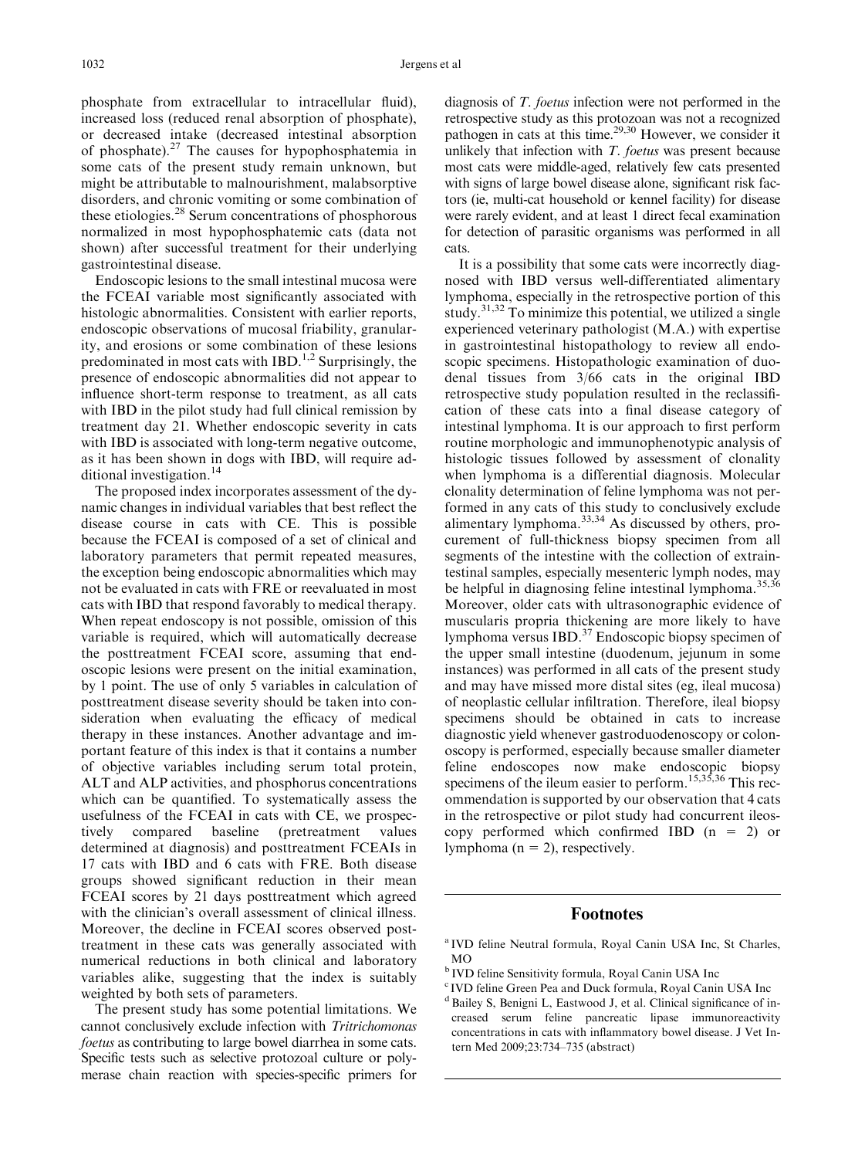phosphate from extracellular to intracellular fluid), increased loss (reduced renal absorption of phosphate), or decreased intake (decreased intestinal absorption of phosphate).<sup>27</sup> The causes for hypophosphatemia in some cats of the present study remain unknown, but might be attributable to malnourishment, malabsorptive disorders, and chronic vomiting or some combination of these etiologies.<sup>28</sup> Serum concentrations of phosphorous normalized in most hypophosphatemic cats (data not shown) after successful treatment for their underlying gastrointestinal disease.

Endoscopic lesions to the small intestinal mucosa were the FCEAI variable most significantly associated with histologic abnormalities. Consistent with earlier reports, endoscopic observations of mucosal friability, granularity, and erosions or some combination of these lesions predominated in most cats with IBD.<sup>1,2</sup> Surprisingly, the presence of endoscopic abnormalities did not appear to influence short-term response to treatment, as all cats with IBD in the pilot study had full clinical remission by treatment day 21. Whether endoscopic severity in cats with IBD is associated with long-term negative outcome, as it has been shown in dogs with IBD, will require additional investigation.<sup>14</sup>

The proposed index incorporates assessment of the dynamic changes in individual variables that best reflect the disease course in cats with CE. This is possible because the FCEAI is composed of a set of clinical and laboratory parameters that permit repeated measures, the exception being endoscopic abnormalities which may not be evaluated in cats with FRE or reevaluated in most cats with IBD that respond favorably to medical therapy. When repeat endoscopy is not possible, omission of this variable is required, which will automatically decrease the posttreatment FCEAI score, assuming that endoscopic lesions were present on the initial examination, by 1 point. The use of only 5 variables in calculation of posttreatment disease severity should be taken into consideration when evaluating the efficacy of medical therapy in these instances. Another advantage and important feature of this index is that it contains a number of objective variables including serum total protein, ALT and ALP activities, and phosphorus concentrations which can be quantified. To systematically assess the usefulness of the FCEAI in cats with CE, we prospectively compared baseline (pretreatment values determined at diagnosis) and posttreatment FCEAIs in 17 cats with IBD and 6 cats with FRE. Both disease groups showed significant reduction in their mean FCEAI scores by 21 days posttreatment which agreed with the clinician's overall assessment of clinical illness. Moreover, the decline in FCEAI scores observed posttreatment in these cats was generally associated with numerical reductions in both clinical and laboratory variables alike, suggesting that the index is suitably weighted by both sets of parameters.

The present study has some potential limitations. We cannot conclusively exclude infection with Tritrichomonas foetus as contributing to large bowel diarrhea in some cats. Specific tests such as selective protozoal culture or polymerase chain reaction with species-specific primers for

diagnosis of T. foetus infection were not performed in the retrospective study as this protozoan was not a recognized pathogen in cats at this time.29,30 However, we consider it unlikely that infection with  $T$ . *foetus* was present because most cats were middle-aged, relatively few cats presented with signs of large bowel disease alone, significant risk factors (ie, multi-cat household or kennel facility) for disease were rarely evident, and at least 1 direct fecal examination for detection of parasitic organisms was performed in all cats.

It is a possibility that some cats were incorrectly diagnosed with IBD versus well-differentiated alimentary lymphoma, especially in the retrospective portion of this study.<sup>31,32</sup> To minimize this potential, we utilized a single experienced veterinary pathologist (M.A.) with expertise in gastrointestinal histopathology to review all endoscopic specimens. Histopathologic examination of duodenal tissues from 3/66 cats in the original IBD retrospective study population resulted in the reclassification of these cats into a final disease category of intestinal lymphoma. It is our approach to first perform routine morphologic and immunophenotypic analysis of histologic tissues followed by assessment of clonality when lymphoma is a differential diagnosis. Molecular clonality determination of feline lymphoma was not performed in any cats of this study to conclusively exclude alimentary lymphoma.33,34 As discussed by others, procurement of full-thickness biopsy specimen from all segments of the intestine with the collection of extraintestinal samples, especially mesenteric lymph nodes, may be helpful in diagnosing feline intestinal lymphoma.<sup>35,36</sup> Moreover, older cats with ultrasonographic evidence of muscularis propria thickening are more likely to have lymphoma versus IBD.<sup>37</sup> Endoscopic biopsy specimen of the upper small intestine (duodenum, jejunum in some instances) was performed in all cats of the present study and may have missed more distal sites (eg, ileal mucosa) of neoplastic cellular infiltration. Therefore, ileal biopsy specimens should be obtained in cats to increase diagnostic yield whenever gastroduodenoscopy or colonoscopy is performed, especially because smaller diameter feline endoscopes now make endoscopic biopsy specimens of the ileum easier to perform.<sup>15,35,36</sup> This recommendation is supported by our observation that 4 cats in the retrospective or pilot study had concurrent ileoscopy performed which confirmed IBD  $(n = 2)$  or lymphoma ( $n = 2$ ), respectively.

# Footnotes

<sup>a</sup> IVD feline Neutral formula, Royal Canin USA Inc, St Charles, MO

<sup>b</sup> IVD feline Sensitivity formula, Royal Canin USA Inc

<sup>&</sup>lt;sup>c</sup> IVD feline Green Pea and Duck formula, Royal Canin USA Inc

<sup>&</sup>lt;sup>d</sup> Bailey S, Benigni L, Eastwood J, et al. Clinical significance of increased serum feline pancreatic lipase immunoreactivity concentrations in cats with inflammatory bowel disease. J Vet Intern Med 2009;23:734–735 (abstract)